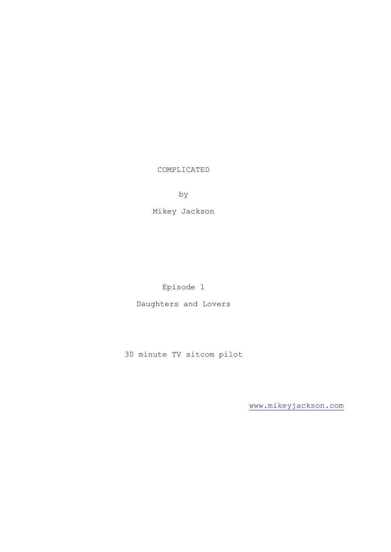COMPLICATED

by

Mikey Jackson

Episode 1

Daughters and Lovers

30 minute TV sitcom pilot

[www.mikeyjackson.com](http://www.mikeyjackson.com/)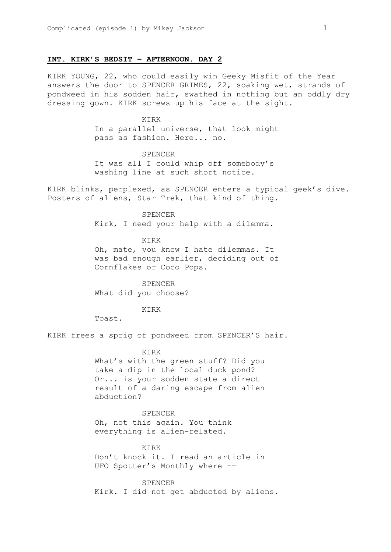#### **INT. KIRK'S BEDSIT – AFTERNOON. DAY 2**

KIRK YOUNG, 22, who could easily win Geeky Misfit of the Year answers the door to SPENCER GRIMES, 22, soaking wet, strands of pondweed in his sodden hair, swathed in nothing but an oddly dry dressing gown. KIRK screws up his face at the sight.

> KIRK In a parallel universe, that look might pass as fashion. Here... no.

# SPENCER

It was all I could whip off somebody's washing line at such short notice.

KIRK blinks, perplexed, as SPENCER enters a typical geek's dive. Posters of aliens, Star Trek, that kind of thing.

#### SPENCER

Kirk, I need your help with a dilemma.

KIRK

Oh, mate, you know I hate dilemmas. It was bad enough earlier, deciding out of Cornflakes or Coco Pops.

SPENCER What did you choose?

KIRK

Toast.

KIRK frees a sprig of pondweed from SPENCER'S hair.

## KIRK

What's with the green stuff? Did you take a dip in the local duck pond? Or... is your sodden state a direct result of a daring escape from alien abduction?

SPENCER Oh, not this again. You think everything is alien-related.

KIRK

Don't knock it. I read an article in UFO Spotter's Monthly where ––

SPENCER Kirk. I did not get abducted by aliens.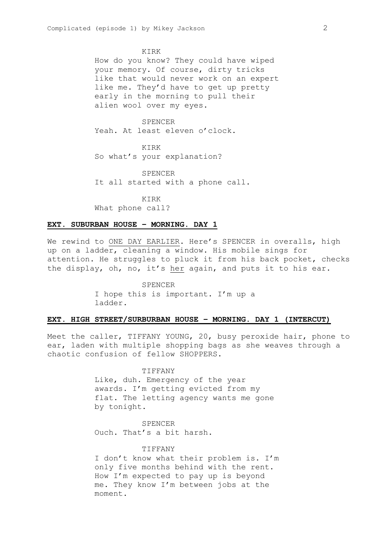#### KIRK

How do you know? They could have wiped your memory. Of course, dirty tricks like that would never work on an expert like me. They'd have to get up pretty early in the morning to pull their alien wool over my eyes.

# SPENCER

Yeah. At least eleven o'clock.

KIRK So what's your explanation?

SPENCER It all started with a phone call.

KIRK What phone call?

# **EXT. SUBURBAN HOUSE – MORNING. DAY 1**

We rewind to ONE DAY EARLIER. Here's SPENCER in overalls, high up on a ladder, cleaning a window. His mobile sings for attention. He struggles to pluck it from his back pocket, checks the display, oh, no, it's her again, and puts it to his ear.

> SPENCER I hope this is important. I'm up a ladder.

# **EXT. HIGH STREET/SURBURBAN HOUSE – MORNING. DAY 1 (INTERCUT)**

Meet the caller, TIFFANY YOUNG, 20, busy peroxide hair, phone to ear, laden with multiple shopping bags as she weaves through a chaotic confusion of fellow SHOPPERS.

# TIFFANY

Like, duh. Emergency of the year awards. I'm getting evicted from my flat. The letting agency wants me gone by tonight.

SPENCER Ouch. That's a bit harsh.

### TIFFANY

I don't know what their problem is. I'm only five months behind with the rent. How I'm expected to pay up is beyond me. They know I'm between jobs at the moment.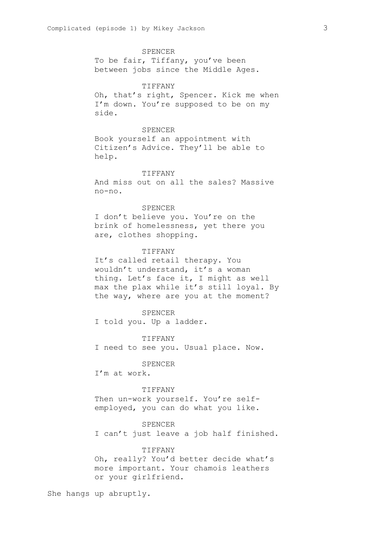SPENCER To be fair, Tiffany, you've been between jobs since the Middle Ages.

#### TIFFANY

Oh, that's right, Spencer. Kick me when I'm down. You're supposed to be on my side.

## SPENCER

Book yourself an appointment with Citizen's Advice. They'll be able to help.

#### **TIFFANY**

And miss out on all the sales? Massive no-no.

SPENCER I don't believe you. You're on the brink of homelessness, yet there you are, clothes shopping.

#### TIFFANY

It's called retail therapy. You wouldn't understand, it's a woman thing. Let's face it, I might as well max the plax while it's still loyal. By the way, where are you at the moment?

SPENCER I told you. Up a ladder.

#### TIFFANY

I need to see you. Usual place. Now.

#### SPENCER

I'm at work.

### TIFFANY

Then un-work yourself. You're selfemployed, you can do what you like.

#### SPENCER

I can't just leave a job half finished.

# TIFFANY

Oh, really? You'd better decide what's more important. Your chamois leathers or your girlfriend.

She hangs up abruptly.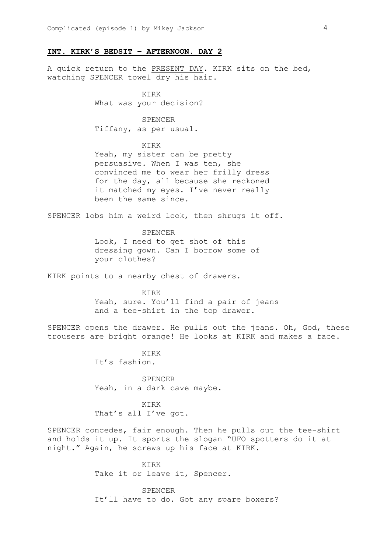# **INT. KIRK'S BEDSIT – AFTERNOON. DAY 2**

A quick return to the PRESENT DAY. KIRK sits on the bed, watching SPENCER towel dry his hair.

> KIRK What was your decision?

SPENCER Tiffany, as per usual.

# KIRK

Yeah, my sister can be pretty persuasive. When I was ten, she convinced me to wear her frilly dress for the day, all because she reckoned it matched my eyes. I've never really been the same since.

SPENCER lobs him a weird look, then shrugs it off.

### SPENCER

Look, I need to get shot of this dressing gown. Can I borrow some of your clothes?

KIRK points to a nearby chest of drawers.

KIRK Yeah, sure. You'll find a pair of jeans and a tee-shirt in the top drawer.

SPENCER opens the drawer. He pulls out the jeans. Oh, God, these trousers are bright orange! He looks at KIRK and makes a face.

> KIRK It's fashion.

SPENCER Yeah, in a dark cave maybe.

KIRK That's all I've got.

SPENCER concedes, fair enough. Then he pulls out the tee-shirt and holds it up. It sports the slogan "UFO spotters do it at night." Again, he screws up his face at KIRK.

> KIRK Take it or leave it, Spencer.

SPENCER It'll have to do. Got any spare boxers?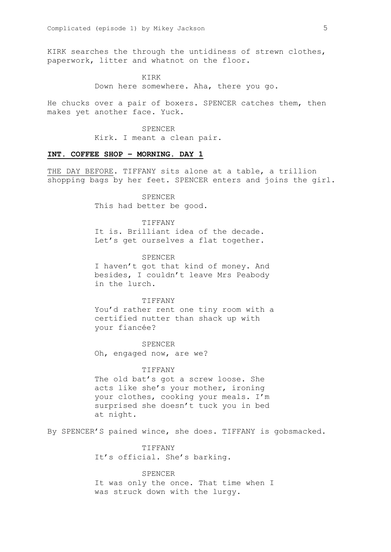KIRK searches the through the untidiness of strewn clothes, paperwork, litter and whatnot on the floor.

> KIRK Down here somewhere. Aha, there you go.

He chucks over a pair of boxers. SPENCER catches them, then makes yet another face. Yuck.

> SPENCER Kirk. I meant a clean pair.

## **INT. COFFEE SHOP – MORNING. DAY 1**

THE DAY BEFORE. TIFFANY sits alone at a table, a trillion shopping bags by her feet. SPENCER enters and joins the girl.

> SPENCER This had better be good.

TIFFANY It is. Brilliant idea of the decade. Let's get ourselves a flat together.

SPENCER I haven't got that kind of money. And besides, I couldn't leave Mrs Peabody in the lurch.

TIFFANY You'd rather rent one tiny room with a certified nutter than shack up with your fiancée?

SPENCER Oh, engaged now, are we?

#### TIFFANY

The old bat's got a screw loose. She acts like she's your mother, ironing your clothes, cooking your meals. I'm surprised she doesn't tuck you in bed at night.

By SPENCER'S pained wince, she does. TIFFANY is gobsmacked.

TIFFANY It's official. She's barking.

SPENCER It was only the once. That time when I was struck down with the lurgy.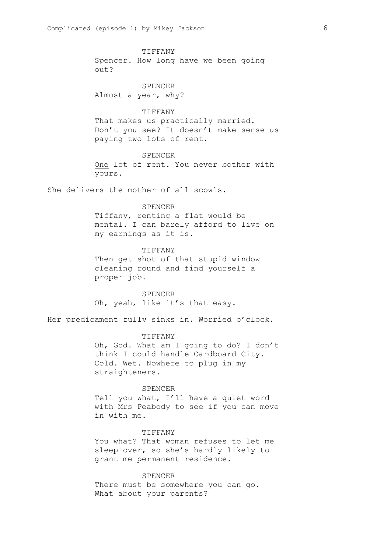TIFFANY

Spencer. How long have we been going out?

SPENCER Almost a year, why?

# TIFFANY

That makes us practically married. Don't you see? It doesn't make sense us paying two lots of rent.

# SPENCER

One lot of rent. You never bother with yours.

She delivers the mother of all scowls.

#### SPENCER

Tiffany, renting a flat would be mental. I can barely afford to live on my earnings as it is.

# TIFFANY

Then get shot of that stupid window cleaning round and find yourself a proper job.

SPENCER Oh, yeah, like it's that easy.

Her predicament fully sinks in. Worried o'clock.

#### TIFFANY

Oh, God. What am I going to do? I don't think I could handle Cardboard City. Cold. Wet. Nowhere to plug in my straighteners.

#### SPENCER

Tell you what, I'll have a quiet word with Mrs Peabody to see if you can move in with me.

#### TIFFANY

You what? That woman refuses to let me sleep over, so she's hardly likely to grant me permanent residence.

# SPENCER

There must be somewhere you can go. What about your parents?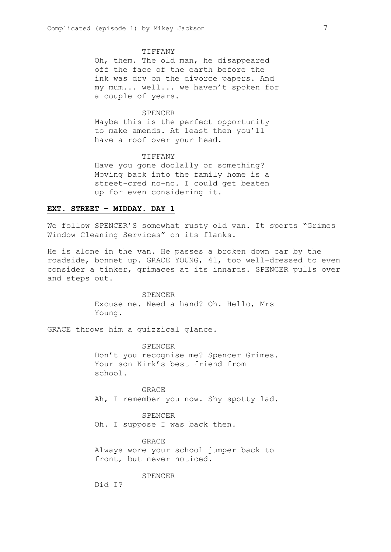#### TIFFANY

Oh, them. The old man, he disappeared off the face of the earth before the ink was dry on the divorce papers. And my mum... well... we haven't spoken for a couple of years.

## SPENCER

Maybe this is the perfect opportunity to make amends. At least then you'll have a roof over your head.

## TIFFANY

Have you gone doolally or something? Moving back into the family home is a street-cred no-no. I could get beaten up for even considering it.

# **EXT. STREET – MIDDAY. DAY 1**

We follow SPENCER'S somewhat rusty old van. It sports "Grimes Window Cleaning Services" on its flanks.

He is alone in the van. He passes a broken down car by the roadside, bonnet up. GRACE YOUNG, 41, too well-dressed to even consider a tinker, grimaces at its innards. SPENCER pulls over and steps out.

> SPENCER Excuse me. Need a hand? Oh. Hello, Mrs Young.

GRACE throws him a quizzical glance.

SPENCER Don't you recognise me? Spencer Grimes. Your son Kirk's best friend from school.

GRACE Ah, I remember you now. Shy spotty lad.

SPENCER Oh. I suppose I was back then.

GRACE Always wore your school jumper back to front, but never noticed.

# SPENCER

Did I?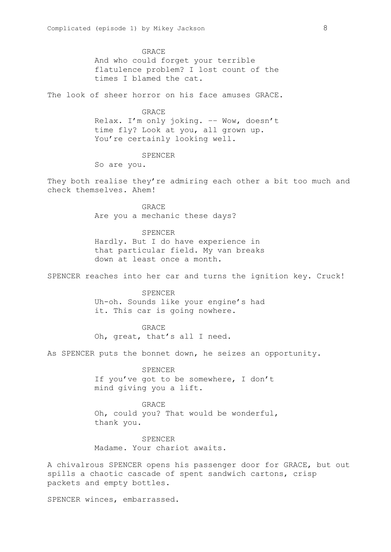GRACE

And who could forget your terrible flatulence problem? I lost count of the times I blamed the cat.

The look of sheer horror on his face amuses GRACE.

#### **GRACE**

Relax. I'm only joking. –– Wow, doesn't time fly? Look at you, all grown up. You're certainly looking well.

# SPENCER

So are you.

They both realise they're admiring each other a bit too much and check themselves. Ahem!

> **GRACE** Are you a mechanic these days?

# SPENCER

Hardly. But I do have experience in that particular field. My van breaks down at least once a month.

SPENCER reaches into her car and turns the ignition key. Cruck!

SPENCER Uh-oh. Sounds like your engine's had it. This car is going nowhere.

GRACE Oh, great, that's all I need.

As SPENCER puts the bonnet down, he seizes an opportunity.

SPENCER If you've got to be somewhere, I don't mind giving you a lift.

GRACE Oh, could you? That would be wonderful, thank you.

SPENCER Madame. Your chariot awaits.

A chivalrous SPENCER opens his passenger door for GRACE, but out spills a chaotic cascade of spent sandwich cartons, crisp packets and empty bottles.

SPENCER winces, embarrassed.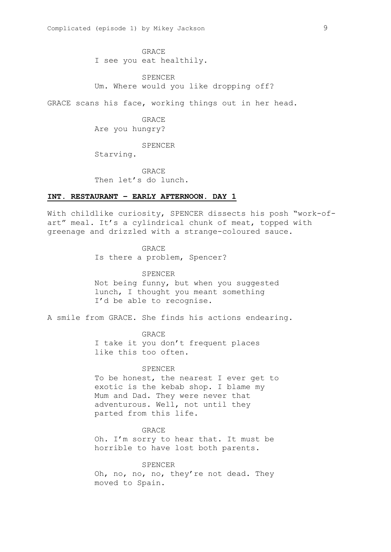GRACE I see you eat healthily.

SPENCER Um. Where would you like dropping off?

GRACE scans his face, working things out in her head.

**GRACE** Are you hungry?

SPENCER

Starving.

GRACE Then let's do lunch.

# **INT. RESTAURANT – EARLY AFTERNOON. DAY 1**

With childlike curiosity, SPENCER dissects his posh "work-ofart" meal. It's a cylindrical chunk of meat, topped with greenage and drizzled with a strange-coloured sauce.

> GRACE Is there a problem, Spencer?

> > SPENCER

Not being funny, but when you suggested lunch, I thought you meant something I'd be able to recognise.

A smile from GRACE. She finds his actions endearing.

GRACE

I take it you don't frequent places like this too often.

# SPENCER

To be honest, the nearest I ever get to exotic is the kebab shop. I blame my Mum and Dad. They were never that adventurous. Well, not until they parted from this life.

GRACE Oh. I'm sorry to hear that. It must be horrible to have lost both parents.

SPENCER Oh, no, no, no, they're not dead. They moved to Spain.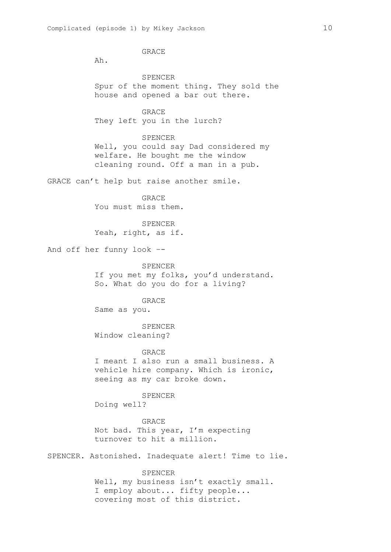GRACE

Ah.

SPENCER Spur of the moment thing. They sold the house and opened a bar out there.

GRACE They left you in the lurch?

SPENCER Well, you could say Dad considered my welfare. He bought me the window cleaning round. Off a man in a pub.

GRACE can't help but raise another smile.

**GRACE** You must miss them.

SPENCER Yeah, right, as if.

And off her funny look –-

SPENCER If you met my folks, you'd understand. So. What do you do for a living?

GRACE Same as you.

SPENCER Window cleaning?

GRACE

I meant I also run a small business. A vehicle hire company. Which is ironic, seeing as my car broke down.

SPENCER

Doing well?

GRACE Not bad. This year, I'm expecting turnover to hit a million.

SPENCER. Astonished. Inadequate alert! Time to lie.

SPENCER Well, my business isn't exactly small. I employ about... fifty people... covering most of this district.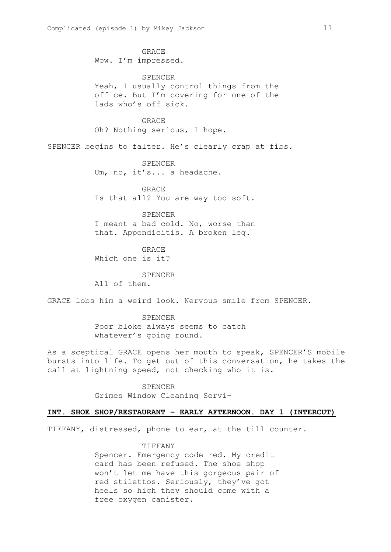GRACE Wow. I'm impressed. SPENCER Yeah, I usually control things from the office. But I'm covering for one of the lads who's off sick. GRACE Oh? Nothing serious, I hope. SPENCER begins to falter. He's clearly crap at fibs. SPENCER Um, no, it's... a headache. GRACE Is that all? You are way too soft. SPENCER I meant a bad cold. No, worse than that. Appendicitis. A broken leg. GRACE Which one is it? SPENCER All of them. GRACE lobs him a weird look. Nervous smile from SPENCER. SPENCER Poor bloke always seems to catch whatever's going round. As a sceptical GRACE opens her mouth to speak, SPENCER'S mobile bursts into life. To get out of this conversation, he takes the call at lightning speed, not checking who it is.

> SPENCER Grimes Window Cleaning Servi–

# **INT. SHOE SHOP/RESTAURANT – EARLY AFTERNOON. DAY 1 (INTERCUT)**

TIFFANY, distressed, phone to ear, at the till counter.

#### TIFFANY

Spencer. Emergency code red. My credit card has been refused. The shoe shop won't let me have this gorgeous pair of red stilettos. Seriously, they've got heels so high they should come with a free oxygen canister.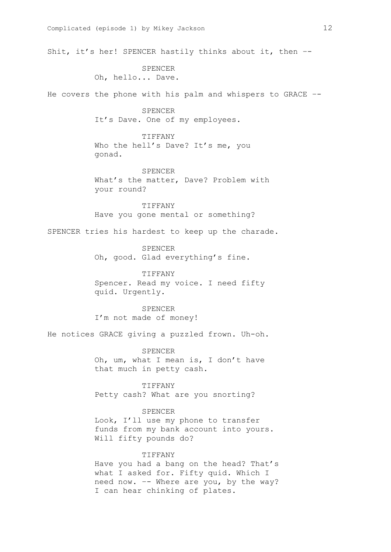Shit, it's her! SPENCER hastily thinks about it, then –-

SPENCER Oh, hello... Dave.

He covers the phone with his palm and whispers to GRACE –-

SPENCER It's Dave. One of my employees.

TIFFANY Who the hell's Dave? It's me, you gonad.

SPENCER What's the matter, Dave? Problem with your round?

TIFFANY Have you gone mental or something?

SPENCER tries his hardest to keep up the charade.

SPENCER Oh, good. Glad everything's fine.

TIFFANY Spencer. Read my voice. I need fifty quid. Urgently.

SPENCER I'm not made of money!

He notices GRACE giving a puzzled frown. Uh-oh.

SPENCER Oh, um, what I mean is, I don't have that much in petty cash.

TIFFANY Petty cash? What are you snorting?

SPENCER

Look, I'll use my phone to transfer funds from my bank account into yours. Will fifty pounds do?

TIFFANY

Have you had a bang on the head? That's what I asked for. Fifty quid. Which I need now. –- Where are you, by the way? I can hear chinking of plates.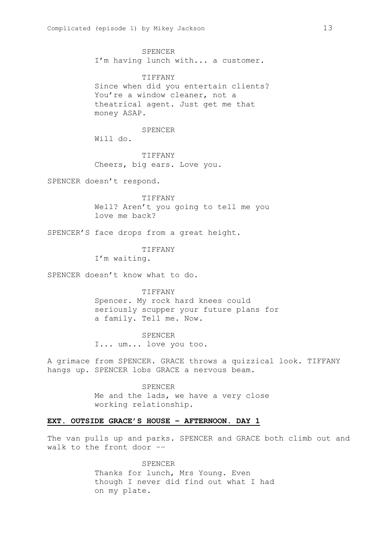SPENCER I'm having lunch with... a customer.

TIFFANY Since when did you entertain clients? You're a window cleaner, not a theatrical agent. Just get me that money ASAP.

#### SPENCER

Will do.

TIFFANY Cheers, big ears. Love you.

SPENCER doesn't respond.

TIFFANY Well? Aren't you going to tell me you love me back?

SPENCER'S face drops from a great height.

TIFFANY

I'm waiting.

SPENCER doesn't know what to do.

**TIFFANY** Spencer. My rock hard knees could seriously scupper your future plans for a family. Tell me. Now.

SPENCER I... um... love you too.

A grimace from SPENCER. GRACE throws a quizzical look. TIFFANY hangs up. SPENCER lobs GRACE a nervous beam.

> **SPENCER** Me and the lads, we have a very close working relationship.

# **EXT. OUTSIDE GRACE'S HOUSE – AFTERNOON. DAY 1**

The van pulls up and parks. SPENCER and GRACE both climb out and walk to the front door ––

> SPENCER Thanks for lunch, Mrs Young. Even though I never did find out what I had on my plate.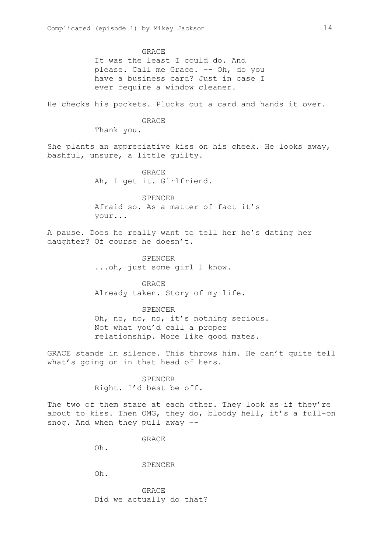GRACE

It was the least I could do. And please. Call me Grace. –- Oh, do you have a business card? Just in case I ever require a window cleaner.

He checks his pockets. Plucks out a card and hands it over.

GRACE

Thank you.

She plants an appreciative kiss on his cheek. He looks away, bashful, unsure, a little guilty.

> GRACE Ah, I get it. Girlfriend.

SPENCER Afraid so. As a matter of fact it's your...

A pause. Does he really want to tell her he's dating her daughter? Of course he doesn't.

> SPENCER ...oh, just some girl I know.

**GRACE** Already taken. Story of my life.

#### SPENCER

Oh, no, no, no, it's nothing serious. Not what you'd call a proper relationship. More like good mates.

GRACE stands in silence. This throws him. He can't quite tell what's going on in that head of hers.

> SPENCER Right. I'd best be off.

The two of them stare at each other. They look as if they're about to kiss. Then OMG, they do, bloody hell, it's a full-on snog. And when they pull away –-

GRACE

Oh.

#### SPENCER

Oh.

GRACE Did we actually do that?